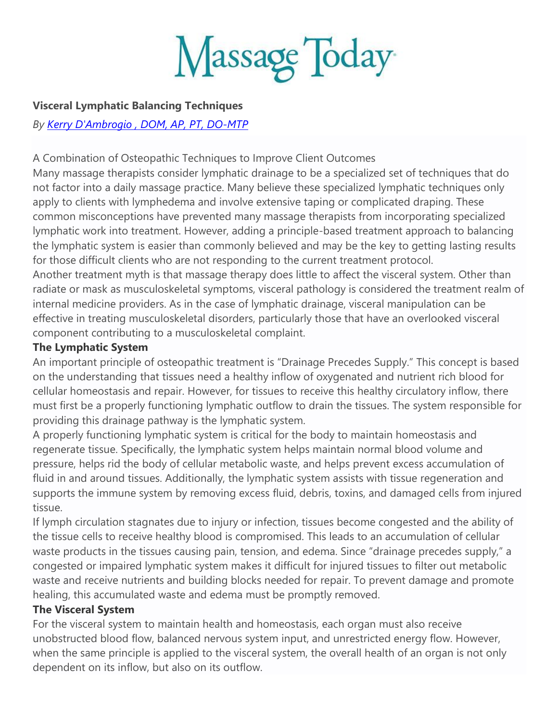Massage Today

### **Visceral Lymphatic Balancing Techniques**

*By Kerry D'Ambrogio [, DOM, AP, PT, DO-MTP](https://www.massagetoday.com/columnists/4194/Kerry-DAmbrogio)*

### A Combination of Osteopathic Techniques to Improve Client Outcomes

Many massage therapists consider lymphatic drainage to be a specialized set of techniques that do not factor into a daily massage practice. Many believe these specialized lymphatic techniques only apply to clients with lymphedema and involve extensive taping or complicated draping. These common misconceptions have prevented many massage therapists from incorporating specialized lymphatic work into treatment. However, adding a principle-based treatment approach to balancing the lymphatic system is easier than commonly believed and may be the key to getting lasting results for those difficult clients who are not responding to the current treatment protocol. Another treatment myth is that massage therapy does little to affect the visceral system. Other than

radiate or mask as musculoskeletal symptoms, visceral pathology is considered the treatment realm of internal medicine providers. As in the case of lymphatic drainage, visceral manipulation can be effective in treating musculoskeletal disorders, particularly those that have an overlooked visceral component contributing to a musculoskeletal complaint.

### **The Lymphatic System**

An important principle of osteopathic treatment is "Drainage Precedes Supply." This concept is based on the understanding that tissues need a healthy inflow of oxygenated and nutrient rich blood for cellular homeostasis and repair. However, for tissues to receive this healthy circulatory inflow, there must first be a properly functioning lymphatic outflow to drain the tissues. The system responsible for providing this drainage pathway is the lymphatic system.

A properly functioning lymphatic system is critical for the body to maintain homeostasis and regenerate tissue. Specifically, the lymphatic system helps maintain normal blood volume and pressure, helps rid the body of cellular metabolic waste, and helps prevent excess accumulation of fluid in and around tissues. Additionally, the lymphatic system assists with tissue regeneration and supports the immune system by removing excess fluid, debris, toxins, and damaged cells from injured tissue.

If lymph circulation stagnates due to injury or infection, tissues become congested and the ability of the tissue cells to receive healthy blood is compromised. This leads to an accumulation of cellular waste products in the tissues causing pain, tension, and edema. Since "drainage precedes supply," a congested or impaired lymphatic system makes it difficult for injured tissues to filter out metabolic waste and receive nutrients and building blocks needed for repair. To prevent damage and promote healing, this accumulated waste and edema must be promptly removed.

### **The Visceral System**

For the visceral system to maintain health and homeostasis, each organ must also receive unobstructed blood flow, balanced nervous system input, and unrestricted energy flow. However, when the same principle is applied to the visceral system, the overall health of an organ is not only dependent on its inflow, but also on its outflow.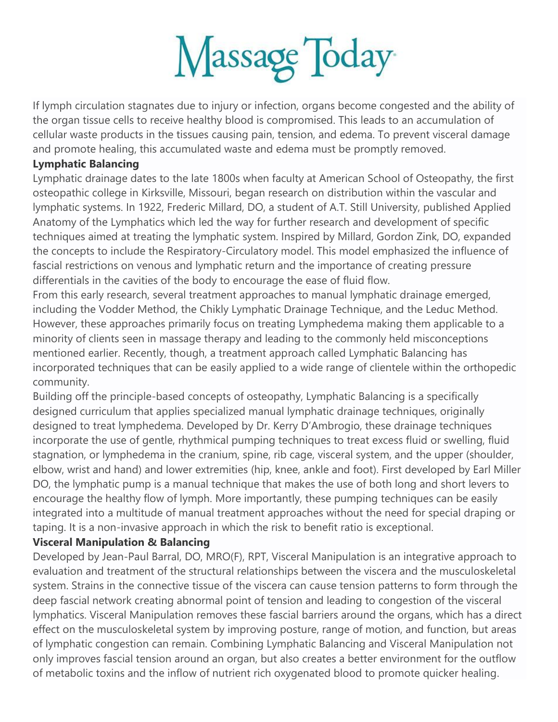

If lymph circulation stagnates due to injury or infection, organs become congested and the ability of the organ tissue cells to receive healthy blood is compromised. This leads to an accumulation of cellular waste products in the tissues causing pain, tension, and edema. To prevent visceral damage and promote healing, this accumulated waste and edema must be promptly removed.

### **Lymphatic Balancing**

Lymphatic drainage dates to the late 1800s when faculty at American School of Osteopathy, the first osteopathic college in Kirksville, Missouri, began research on distribution within the vascular and lymphatic systems. In 1922, Frederic Millard, DO, a student of A.T. Still University, published Applied Anatomy of the Lymphatics which led the way for further research and development of specific techniques aimed at treating the lymphatic system. Inspired by Millard, Gordon Zink, DO, expanded the concepts to include the Respiratory-Circulatory model. This model emphasized the influence of fascial restrictions on venous and lymphatic return and the importance of creating pressure differentials in the cavities of the body to encourage the ease of fluid flow.

From this early research, several treatment approaches to manual lymphatic drainage emerged, including the Vodder Method, the Chikly Lymphatic Drainage Technique, and the Leduc Method. However, these approaches primarily focus on treating Lymphedema making them applicable to a minority of clients seen in massage therapy and leading to the commonly held misconceptions mentioned earlier. Recently, though, a treatment approach called Lymphatic Balancing has incorporated techniques that can be easily applied to a wide range of clientele within the orthopedic community.

Building off the principle-based concepts of osteopathy, Lymphatic Balancing is a specifically designed curriculum that applies specialized manual lymphatic drainage techniques, originally designed to treat lymphedema. Developed by Dr. Kerry D'Ambrogio, these drainage techniques incorporate the use of gentle, rhythmical pumping techniques to treat excess fluid or swelling, fluid stagnation, or lymphedema in the cranium, spine, rib cage, visceral system, and the upper (shoulder, elbow, wrist and hand) and lower extremities (hip, knee, ankle and foot). First developed by Earl Miller DO, the lymphatic pump is a manual technique that makes the use of both long and short levers to encourage the healthy flow of lymph. More importantly, these pumping techniques can be easily integrated into a multitude of manual treatment approaches without the need for special draping or taping. It is a non-invasive approach in which the risk to benefit ratio is exceptional.

## **Visceral Manipulation & Balancing**

Developed by Jean-Paul Barral, DO, MRO(F), RPT, Visceral Manipulation is an integrative approach to evaluation and treatment of the structural relationships between the viscera and the musculoskeletal system. Strains in the connective tissue of the viscera can cause tension patterns to form through the deep fascial network creating abnormal point of tension and leading to congestion of the visceral lymphatics. Visceral Manipulation removes these fascial barriers around the organs, which has a direct effect on the musculoskeletal system by improving posture, range of motion, and function, but areas of lymphatic congestion can remain. Combining Lymphatic Balancing and Visceral Manipulation not only improves fascial tension around an organ, but also creates a better environment for the outflow of metabolic toxins and the inflow of nutrient rich oxygenated blood to promote quicker healing.